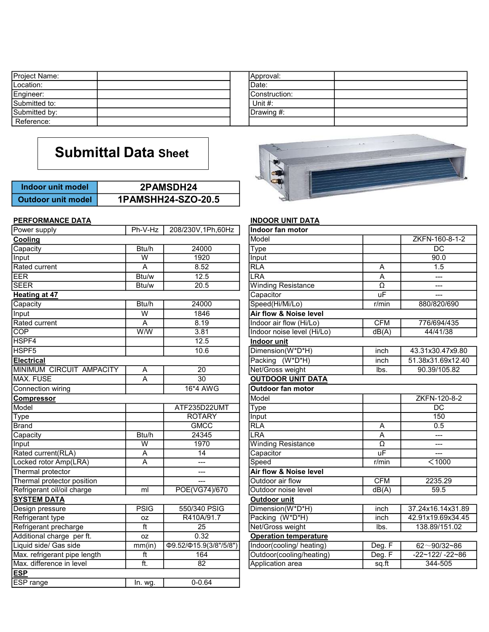| Project Name:             |                             | Approval:     |  |
|---------------------------|-----------------------------|---------------|--|
| Location:                 |                             | Date:         |  |
| Engineer:                 |                             | Construction: |  |
| Submitted to:             |                             | Unit #:       |  |
| Submitted by:             |                             | Drawing #:    |  |
| Reference:                |                             |               |  |
|                           |                             |               |  |
|                           | <b>Submittal Data Sheet</b> |               |  |
|                           |                             |               |  |
| Indoor unit model         | 2PAMSDH24                   |               |  |
| <b>Outdoor unit model</b> | 1PAMSHH24-SZO-20.5          |               |  |

| Indoor unit model         | 2PAMSDH24          |
|---------------------------|--------------------|
| <b>Outdoor unit model</b> | 1PAMSHH24-SZO-20.5 |

### PERFORMANCE DATA

| Power supply                 | Ph-V-Hz                 | 208/230V, 1Ph, 60Hz                 | Indoor fan motor                  |                     |                   |
|------------------------------|-------------------------|-------------------------------------|-----------------------------------|---------------------|-------------------|
| Cooling                      |                         |                                     | Model                             |                     | ZKFN-160-8-1-2    |
| Capacity                     | Btu/h                   | 24000                               | <b>Type</b>                       |                     | $\overline{DC}$   |
| Input                        | $\overline{W}$          | 1920                                | Input                             |                     | 90.0              |
| Rated current                | A                       | 8.52                                | <b>RLA</b>                        | A                   | 1.5               |
| EER                          | Btu/w                   | 12.5                                | <b>LRA</b>                        | A                   | $---$             |
| <b>SEER</b>                  | Btu/w                   | 20.5                                | <b>Winding Resistance</b>         | Ω                   | ---               |
| <b>Heating at 47</b>         |                         |                                     | Capacitor                         | uF                  | $---$             |
| Capacity                     | Btu/h                   | 24000                               | Speed(Hi/Mi/Lo)                   | r/min               | 880/820/690       |
| Input                        | W                       | 1846                                | Air flow & Noise level            |                     |                   |
| Rated current                | Α                       | 8.19                                | Indoor air flow (Hi/Lo)           | <b>CFM</b>          | 776/694/435       |
| <b>COP</b>                   | W/W                     | 3.81                                | Indoor noise level (Hi/Lo)        | dB(A)               | 44/41/38          |
| HSPF4                        |                         | 12.5                                | <b>Indoor unit</b>                |                     |                   |
| HSPF <sub>5</sub>            |                         | 10.6                                | Dimension(W*D*H)                  | inch                | 43.31x30.47x9.80  |
| <b>Electrical</b>            |                         |                                     | Packing (W*D*H)                   | inch                | 51.38x31.69x12.40 |
| MINIMUM CIRCUIT AMPACITY     | Α                       | 20                                  | Net/Gross weight                  | lbs.                | 90.39/105.82      |
| MAX. FUSE                    | A                       | $\overline{30}$                     | <b>OUTDOOR UNIT DATA</b>          |                     |                   |
| Connection wiring            |                         | 16*4 AWG                            | <b>Outdoor fan motor</b>          |                     |                   |
| <b>Compressor</b>            |                         |                                     | Model                             |                     | ZKFN-120-8-2      |
| Model                        |                         | ATF235D22UMT                        | <b>Type</b>                       |                     | $\overline{DC}$   |
| <b>Type</b>                  |                         | <b>ROTARY</b>                       | Input                             |                     | 150               |
| <b>Brand</b>                 |                         | <b>GMCC</b>                         | <b>RLA</b>                        | A                   | 0.5               |
| Capacity                     | Btu/h                   | 24345                               | LRA                               | A                   | ---               |
| Input                        | $\overline{\mathsf{w}}$ | 1970                                | <b>Winding Resistance</b>         | $\overline{\Omega}$ | $---$             |
| Rated current(RLA)           | A                       | $\overline{14}$                     | Capacitor                         | uF                  | ---               |
| Locked rotor Amp(LRA)        | A                       | ---                                 | Speed                             | r/min               | $\overline{$ 1000 |
| Thermal protector            |                         | ---                                 | <b>Air flow &amp; Noise level</b> |                     |                   |
| Thermal protector position   |                         | $---$                               | Outdoor air flow                  | <b>CFM</b>          | 2235.29           |
| Refrigerant oil/oil charge   | ml                      | POE(VG74)/670                       | Outdoor noise level               | dB(A)               | 59.5              |
| <b>SYSTEM DATA</b>           |                         |                                     | <b>Outdoor unit</b>               |                     |                   |
| Design pressure              | <b>PSIG</b>             | 550/340 PSIG                        | Dimension(W*D*H)                  | inch                | 37.24x16.14x31.89 |
| Refrigerant type             | 0Z                      | R410A/91.7                          | Packing (W*D*H)                   | inch                | 42.91x19.69x34.45 |
| Refrigerant precharge        | $\overline{t}$          | $\overline{25}$                     | Net/Gross weight                  | lbs.                | 138.89/151.02     |
| Additional charge per ft.    | oz                      | 0.32                                | <b>Operation temperature</b>      |                     |                   |
| Liquid side/ Gas side        | mm(in)                  | $\Phi$ 9.52/ $\Phi$ 15.9(3/8"/5/8") | Indoor(cooling/heating)           | Deg. F              | $62 - 90/32 - 86$ |
| Max. refrigerant pipe length | $\overline{t}$          | 164                                 | Outdoor(cooling/heating)          | Deg. F              | $-22~122/ -22~86$ |
| Max. difference in level     | ft.                     | 82                                  | Application area                  | sq.ft               | $344 - 505$       |
| <b>ESP</b>                   |                         |                                     |                                   |                     |                   |
| <b>ESP</b> range             | In. wg.                 | $0 - 0.64$                          |                                   |                     |                   |



# **INDOOR UNIT DATA**

| indoor fan motor             |                     |                        |
|------------------------------|---------------------|------------------------|
| Model                        |                     | ZKFN-160-8-1-2         |
| Type                         |                     | $\overline{DC}$        |
| Input                        |                     | 90.0                   |
| <b>RLA</b>                   | Α                   | 1.5                    |
| <b>LRA</b>                   | A                   |                        |
| <b>Winding Resistance</b>    | $\overline{\Omega}$ |                        |
| Capacitor                    | uF                  |                        |
| Speed(Hi/Mi/Lo)              | $r/m$ in            | 880/820/690            |
| Air flow & Noise level       |                     |                        |
| Indoor air flow (Hi/Lo)      | <b>CFM</b>          | 776/694/435            |
| Indoor noise level (Hi/Lo)   | dB(A)               | 44/41/38               |
| Indoor unit                  |                     |                        |
| Dimension(W*D*H)             | inch                | 43.31x30.47x9.80       |
| Packing (W*D*H)              | inch                | 51.38x31.69x12.40      |
| Net/Gross weight             | lbs.                | 90.39/105.82           |
| <b>OUTDOOR UNIT DATA</b>     |                     |                        |
| <b>Outdoor fan motor</b>     |                     |                        |
| Model                        |                     | ZKFN-120-8-2           |
| Type                         |                     | $\overline{DC}$        |
| Input                        |                     | 150                    |
| <b>RLA</b>                   | A                   | 0.5                    |
| <b>LRA</b>                   | A                   |                        |
| <b>Winding Resistance</b>    | Ω                   |                        |
| Capacitor                    | uF                  |                        |
| Speed                        | r/min               | $<$ 1000               |
| Air flow & Noise level       |                     |                        |
| Outdoor air flow             | <b>CFM</b>          | 2235.29                |
| Outdoor noise level          | dB(A)               | 59.5                   |
| Outdoor unit                 |                     |                        |
| Dimension(W*D*H)             | inch                | 37.24x16.14x31.89      |
| Packing (W*D*H)              | inch                | 42.91x19.69x34.45      |
| Net/Gross weight             | lbs.                | 138.89/151.02          |
| <b>Operation temperature</b> |                     |                        |
| Indoor(cooling/heating)      | Deg. F              | $62 - 90/32 - 86$      |
| Outdoor(cooling/heating)     | Deg. F              | $-22 - 122/ - 22 - 86$ |
| Application area             | sq.ft               | 344-505                |
|                              |                     |                        |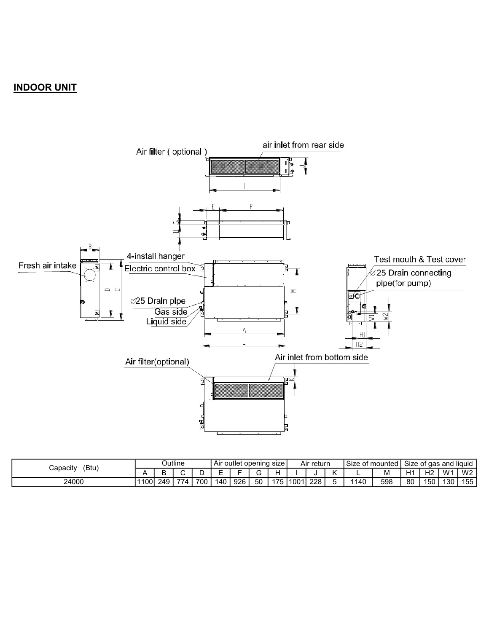## INDOOR UNIT



| (Btu | Dutline  |          |     | opening<br>size<br>. Air<br>∶outlei |     |     | Air returr |    |            | Size<br>∴mounted |     | * das and liquid<br>Size<br>υı |     |     |              |                |                |                          |
|------|----------|----------|-----|-------------------------------------|-----|-----|------------|----|------------|------------------|-----|--------------------------------|-----|-----|--------------|----------------|----------------|--------------------------|
|      | apacityب |          |     |                                     |     |     |            |    |            |                  |     |                                |     | M   | $H^{\prime}$ | H <sub>2</sub> | M <sub>1</sub> | M2<br>. .                |
|      | 24000    | $1100$ . | 249 | $- -$<br>74                         | 700 | 140 | 926        | 50 | 175<br>, , | 1001<br>vv       | 228 |                                | 140 | 598 | 80           | 50             | 130            | $\epsilon$<br>.55<br>ັບປ |